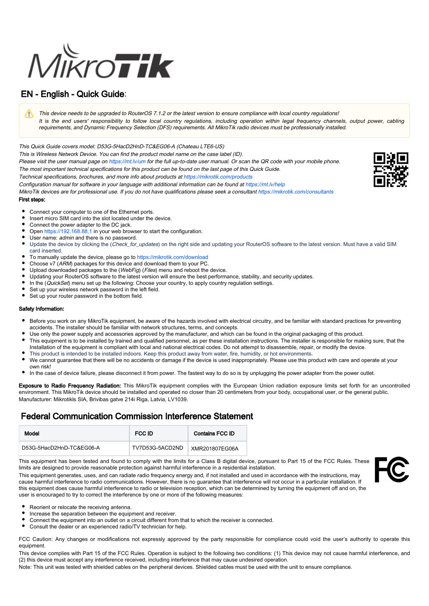

## EN - English - Quick Guide:

This device needs to be upgraded to RouterOS 7.1.2 or the latest version to ensure compliance with local country regulations! It is the end users' responsibility to follow local country regulations, including operation within legal frequency channels, output power, cabling requirements, and Dynamic Frequency Selection (DFS) requirements. All MikroTik radio devices must be professionally installed.

This Quick Guide covers model: D53G-5HacD2HnD-TC&EG06-A (Chateau LTE6-US)

This is Wireless Network Device. You can find the product model name on the case label (ID).

Please visit the user manual page on<https://mt.lv/um>for the full up-to-date user manual. Or scan the QR code with your mobile phone.

The most important technical specifications for this product can be found on the last page of this Quick Guide.

Technical specifications, brochures, and more info about products at <https://mikrotik.com/products>

Configuration manual for software in your language with additional information can be found at <https://mt.lv/help>

MikroTik devices are for professional use. If you do not have qualifications please seek a consultant<https://mikrotik.com/consultants>

## First steps:

- $\bullet$ Connect your computer to one of the Ethernet ports.
- Insert micro SIM card into the slot located under the device.
- Connect the power adapter to the DC jack.
- Open <https://192.168.88.1>in your web browser to start the configuration.
- User name: admin and there is no password.
- $\bullet$ Update the device by clicking the (Check\_for\_updates) on the right side and updating your RouterOS software to the latest version. Must have a valid SIM card inserted.
- To manually update the device, please go to<https://mikrotik.com/download>
- Choose v7 (ARM) packages for this device and download them to your PC.
- Upload downloaded packages to the (WebFig) (Files) menu and reboot the device.
- Updating your RouterOS software to the latest version will ensure the best performance, stability, and security updates.
- In the (QuickSet) menu set up the following: Choose your country, to apply country regulation settings.
- Set up your wireless network password in the left field.
- Set up your router password in the bottom field.

## Safety Information:

- $\bullet$ Before you work on any MikroTik equipment, be aware of the hazards involved with electrical circuitry, and be familiar with standard practices for preventing accidents. The installer should be familiar with network structures, terms, and concepts.
- Use only the power supply and accessories approved by the manufacturer, and which can be found in the original packaging of this product.
- This equipment is to be installed by trained and qualified personnel, as per these installation instructions. The installer is responsible for making sure, that the Installation of the equipment is compliant with local and national electrical codes. Do not attempt to disassemble, repair, or modify the device.
- This product is intended to be installed indoors. Keep this product away from water, fire, humidity, or hot environments.
- We cannot guarantee that there will be no accidents or damage if the device is used inappropriately. Please use this product with care and operate at your own risk!
- In the case of device failure, please disconnect it from power. The fastest way to do so is by unplugging the power adapter from the power outlet.

Exposure to Radio Frequency Radiation: This MikroTik equipment complies with the European Union radiation exposure limits set forth for an uncontrolled environment. This MikroTik device should be installed and operated no closer than 20 centimeters from your body, occupational user, or the general public. Manufacturer: Mikrotikls SIA, Brivibas gatve 214i Riga, Latvia, LV1039.

## Federal Communication Commission Interference Statement

| Model                    | FCC ID          | <b>Contains FCC ID</b> |
|--------------------------|-----------------|------------------------|
| D53G-5HacD2HnD-TC&EG06-A | TV7D53G-5ACD2ND | XMR201807EG06A         |

This equipment has been tested and found to comply with the limits for a Class B digital device, pursuant to Part 15 of the FCC Rules. These limits are designed to provide reasonable protection against harmful interference in a residential installation.

This equipment generates, uses, and can radiate radio frequency energy and, if not installed and used in accordance with the instructions, may cause harmful interference to radio communications. However, there is no guarantee that interference will not occur in a particular installation. If this equipment does cause harmful interference to radio or television reception, which can be determined by turning the equipment off and on, the user is encouraged to try to correct the interference by one or more of the following measures:



 $\bullet$ Reorient or relocate the receiving antenna.

- $\bullet$ Increase the separation between the equipment and receiver.
- Connect the equipment into an outlet on a circuit different from that to which the receiver is connected.
- $\bullet$ Consult the dealer or an experienced radio/TV technician for help.

FCC Caution: Any changes or modifications not expressly approved by the party responsible for compliance could void the user's authority to operate this equipment.

This device complies with Part 15 of the FCC Rules. Operation is subject to the following two conditions: (1) This device may not cause harmful interference, and (2) this device must accept any interference received, including interference that may cause undesired operation.

Note: This unit was tested with shielded cables on the peripheral devices. Shielded cables must be used with the unit to ensure compliance.